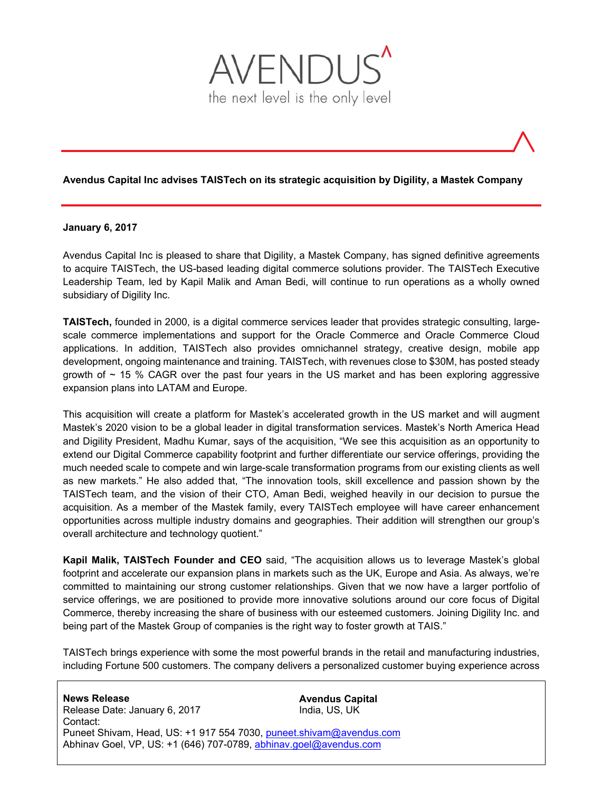

### **Avendus Capital Inc advises TAISTech on its strategic acquisition by Digility, a Mastek Company**

#### **January 6, 2017**

Avendus Capital Inc is pleased to share that Digility, a Mastek Company, has signed definitive agreements to acquire TAISTech, the US-based leading digital commerce solutions provider. The TAISTech Executive Leadership Team, led by Kapil Malik and Aman Bedi, will continue to run operations as a wholly owned subsidiary of Digility Inc.

**TAISTech,** founded in 2000, is a digital commerce services leader that provides strategic consulting, largescale commerce implementations and support for the Oracle Commerce and Oracle Commerce Cloud applications. In addition, TAISTech also provides omnichannel strategy, creative design, mobile app development, ongoing maintenance and training. TAISTech, with revenues close to \$30M, has posted steady growth of  $\sim$  15 % CAGR over the past four years in the US market and has been exploring aggressive expansion plans into LATAM and Europe.

This acquisition will create a platform for Mastek's accelerated growth in the US market and will augment Mastek's 2020 vision to be a global leader in digital transformation services. Mastek's North America Head and Digility President, Madhu Kumar, says of the acquisition, "We see this acquisition as an opportunity to extend our Digital Commerce capability footprint and further differentiate our service offerings, providing the much needed scale to compete and win large-scale transformation programs from our existing clients as well as new markets." He also added that, "The innovation tools, skill excellence and passion shown by the TAISTech team, and the vision of their CTO, Aman Bedi, weighed heavily in our decision to pursue the acquisition. As a member of the Mastek family, every TAISTech employee will have career enhancement opportunities across multiple industry domains and geographies. Their addition will strengthen our group's overall architecture and technology quotient."

**Kapil Malik, TAISTech Founder and CEO** said, "The acquisition allows us to leverage Mastek's global footprint and accelerate our expansion plans in markets such as the UK, Europe and Asia. As always, we're committed to maintaining our strong customer relationships. Given that we now have a larger portfolio of service offerings, we are positioned to provide more innovative solutions around our core focus of Digital Commerce, thereby increasing the share of business with our esteemed customers. Joining Digility Inc. and being part of the Mastek Group of companies is the right way to foster growth at TAIS."

TAISTech brings experience with some the most powerful brands in the retail and manufacturing industries, including Fortune 500 customers. The company delivers a personalized customer buying experience across

**Avendus Capital**  India, US, UK **News Release**  Release Date: January 6, 2017 Contact: Puneet Shivam, Head, US: +1 917 554 7030, puneet.shivam@avendus.com Abhinav Goel, VP, US: +1 (646) 707-0789, abhinav.goel@avendus.com